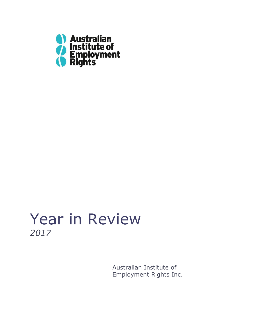

# Year in Review *2017*

Australian Institute of Employment Rights Inc.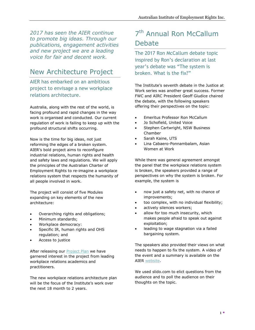*2017 has seen the AIER continue to promote big ideas. Through our publications, engagement activities and new project we are a leading voice for fair and decent work.*

## New Architecture Project

AIER has embarked on an ambitious project to envisage a new workplace relations architecture.

Australia, along with the rest of the world, is facing profound and rapid changes in the way work is organised and conducted. Our current regulation of work is failing to keep up with the profound structural shifts occurring.

Now is the time for big ideas, not just reforming the edges of a broken system. AIER's bold project aims to reconfigure industrial relations, human rights and health and safety laws and regulations. We will apply the principles of the Australian Charter of Employment Rights to re-imagine a workplace relations system that respects the humanity of all people involved in work.

The project will consist of five Modules expanding on key elements of the new architecture:

- Overarching rights and obligations;
- Minimum standards;
- Workplace democracy:
- Specific IR, human rights and OHS regulation; and
- Access to justice

After releasing our **Project Plan** we have garnered interest in the project from leading workplace relations academics and practitioners.

The new workplace relations architecture plan will be the focus of the Institute's work over the next 18 month to 2 years.

# 7<sup>th</sup> Annual Ron McCallum Debate

The 2017 Ron McCallum debate topic inspired by Ron's declaration at last year's debate was "The system is broken. What is the fix?"

The Institute's seventh debate in the Justice at Work series was another great success. Former FWC and AIRC President Geoff Giudice chaired the debate, with the following speakers offering their perspectives on the topic:

- Emeritus Professor Ron McCallum
- Jo Schofield, United Voice
- Stephen Cartwright, NSW Business Chamber
- Sarah Kaine, UTS
- Lina Cabaero-Ponnambalam, Asian Women at Work

While there was general agreement amongst the panel that the workplace relations system is broken, the speakers provided a range of perspectives on why the system is broken. For example, the system is

- now just a safety net, with no chance of improvements;
- too complex, with no individual flexibility;
- actively silences workers;
- allow for too much insecurity, which makes people afraid to speak out against exploitation;
- leading to wage stagnation via a failed bargaining system.

The speakers also provided their views on what needs to happen to fix the system. A video of the event and a summary is available on the AIER [website.](http://www.aierights.com.au/)

We used slido.com to elict questions from the audience and to poll the audience on their thoughts on the topic.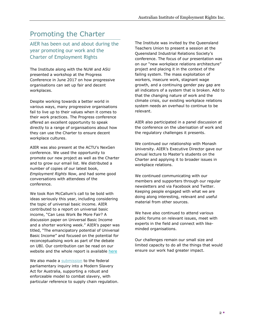#### Promoting the Charter

AIER has been out and about during the year promoting our work and the Charter of Employment Rights

The Institute along with the NUW and ASU presented a workshop at the Progress Conference in June 2017 on how progressive organisations can set up fair and decent workplaces.

Despite working towards a better world in various ways, many progressive organisations fail to live up to their values when it comes to their work practices. The Progress conference offered an excellent opportunity to speak directly to a range of organisations about how they can use the Charter to ensure decent workplace cultures.

AIER was also present at the ACTU's NexGen conference. We used the opportunity to promote our new project as well as the Charter and to grow our email list. We distributed a number of copies of our latest book, *Employment Rights Now*, and had some good conversations with attendees of the conference.

We took Ron McCallum's call to be bold with ideas seriously this year, including considering the topic of universal basic income. AIER contributed to a report on universal basic income, "Can Less Work Be More Fair? A discussion paper on Universal Basic Income and a shorter working week." AIER's paper was titled, "The emancipatory potential of Universal Basic Income" and focused on the potential for reconceptualising work as part of the debate on UBI. Our contribution can be read on our website and the whole report is available [here](https://www.greeninstitute.org.au/sites/default/files/Less_Work_More_Fair_WEB_BM.pdf)

We also made a [submission](http://www.aierights.com.au/2017/05/submission-to-modern-slavery-act-inquiry/) to the federal parliamentary inquiry into a Modern Slavery Act for Australia, supporting a robust and enforceable model to combat slavery, with particular reference to supply chain regulation. The Institute was invited by the Queensland Teachers Union to present a session at the Queensland Industrial Relations Society's conference. The focus of our presentation was on our "new workplace relations architecture" project and placing it in the context of the failing system. The mass exploitation of workers, insecure work, stagnant wage growth, and a continuing gender pay gap are all indicators of a system that is broken. Add to that the changing nature of work and the climate crisis, our existing workplace relations system needs an overhaul to continue to be relevant.

AIER also participated in a panel discussion at the conference on the uberisation of work and the regulatory challenges it presents.

We continued our relationship with Monash University. AIER's Executive Director gave our annual lecture to Master's students on the Charter and applying it to broader issues in workplace relations.

We continued communicating with our members and supporters through our regular newsletters and via Facebook and Twitter. Keeping people engaged with what we are doing along interesting, relevant and useful material from other sources.

We have also continued to attend various public forums on relevant issues, meet with experts in the field and connect with likeminded organisations.

Our challenges remain our small size and limited capacity to do all the things that would ensure our work had greater impact.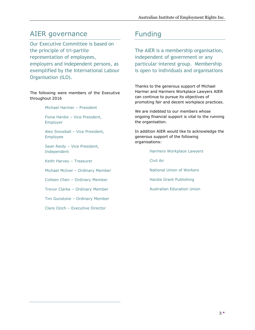#### AIER governance

Our Executive Committee is based on the principle of tri-partite representation of employees, employers and independent persons, as exemplified by the International Labour Organisation (ILO).

The following were members of the Executive throughout 2016

Michael Harmer – President

Fiona Hardie – Vice President, Employer

Alex Snowball – Vice President, Employee

Sean Reidy – Vice President, Independent

Keith Harvey – Treasurer

Michael McIver – Ordinary Member

Colleen Chen – Ordinary Member

Trevor Clarke – Ordinary Member

Tim Gunstone – Ordinary Member

Clare Ozich – Executive Director

#### Funding

The AIER is a membership organisation, independent of government or any particular interest group. Membership is open to individuals and organisations

Thanks to the generous support of Michael Harmer and Harmers Workplace Lawyers AIER can continue to pursue its objectives of promoting fair and decent workplace practices.

We are indebted to our members whose ongoing financial support is vital to the running the organisation.

In addition AIER would like to acknowledge the generous support of the following organisations:

Harmers Workplace Lawyers

Civil Air

National Union of Workers

Hardie Grant Publishing

Australian Education Union